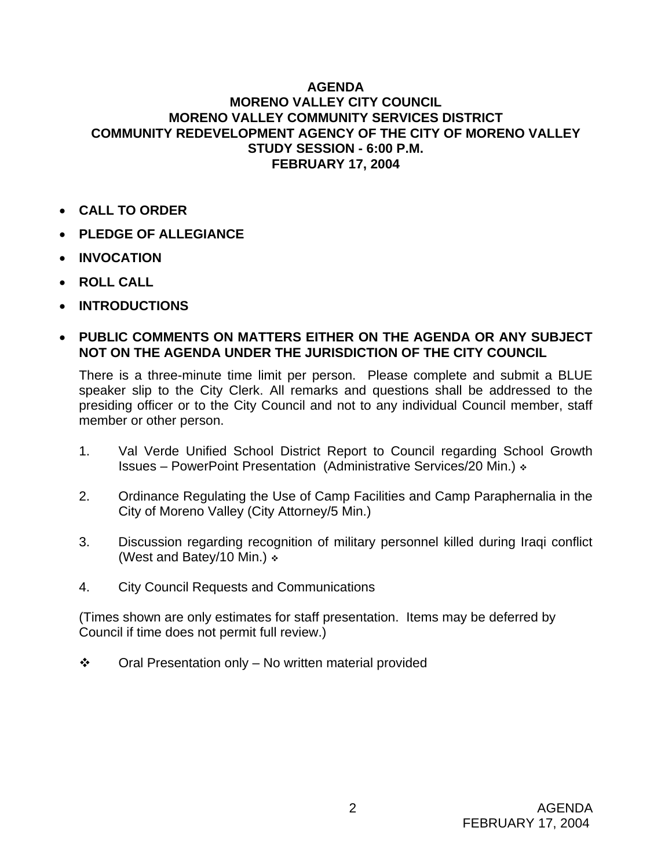## **AGENDA MORENO VALLEY CITY COUNCIL MORENO VALLEY COMMUNITY SERVICES DISTRICT COMMUNITY REDEVELOPMENT AGENCY OF THE CITY OF MORENO VALLEY STUDY SESSION - 6:00 P.M. FEBRUARY 17, 2004**

- **CALL TO ORDER**
- **PLEDGE OF ALLEGIANCE**
- **INVOCATION**
- **ROLL CALL**
- **INTRODUCTIONS**
- **PUBLIC COMMENTS ON MATTERS EITHER ON THE AGENDA OR ANY SUBJECT NOT ON THE AGENDA UNDER THE JURISDICTION OF THE CITY COUNCIL**

There is a three-minute time limit per person. Please complete and submit a BLUE speaker slip to the City Clerk. All remarks and questions shall be addressed to the presiding officer or to the City Council and not to any individual Council member, staff member or other person.

- 1. Val Verde Unified School District Report to Council regarding School Growth Issues – PowerPoint Presentation (Administrative Services/20 Min.)
- 2. Ordinance Regulating the Use of Camp Facilities and Camp Paraphernalia in the City of Moreno Valley (City Attorney/5 Min.)
- 3. Discussion regarding recognition of military personnel killed during Iraqi conflict (West and Batey/10 Min.)
- 4. City Council Requests and Communications

(Times shown are only estimates for staff presentation. Items may be deferred by Council if time does not permit full review.)

 $\div$  Oral Presentation only – No written material provided